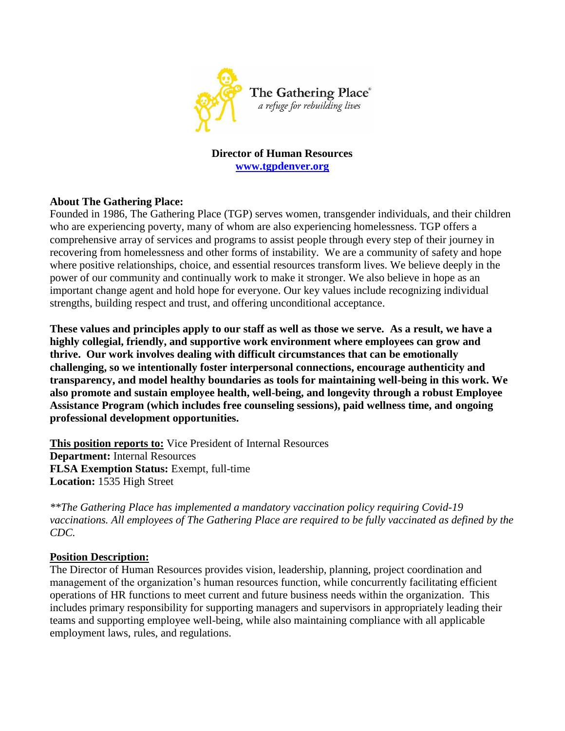

**Director of Human Resources [www.tgpdenver.org](http://www.tgpdenver.org/)**

## **About The Gathering Place:**

Founded in 1986, The Gathering Place (TGP) serves women, transgender individuals, and their children who are experiencing poverty, many of whom are also experiencing homelessness. TGP offers a comprehensive array of services and programs to assist people through every step of their journey in recovering from homelessness and other forms of instability. We are a community of safety and hope where positive relationships, choice, and essential resources transform lives. We believe deeply in the power of our community and continually work to make it stronger. We also believe in hope as an important change agent and hold hope for everyone. Our key values include recognizing individual strengths, building respect and trust, and offering unconditional acceptance.

**These values and principles apply to our staff as well as those we serve. As a result, we have a highly collegial, friendly, and supportive work environment where employees can grow and thrive. Our work involves dealing with difficult circumstances that can be emotionally challenging, so we intentionally foster interpersonal connections, encourage authenticity and transparency, and model healthy boundaries as tools for maintaining well-being in this work. We also promote and sustain employee health, well-being, and longevity through a robust Employee Assistance Program (which includes free counseling sessions), paid wellness time, and ongoing professional development opportunities.**

**This position reports to:** Vice President of Internal Resources **Department:** Internal Resources **FLSA Exemption Status:** Exempt, full-time **Location:** 1535 High Street

*\*\*The Gathering Place has implemented a mandatory vaccination policy requiring Covid-19 vaccinations. All employees of The Gathering Place are required to be fully vaccinated as defined by the CDC.* 

## **Position Description:**

The Director of Human Resources provides vision, leadership, planning, project coordination and management of the organization's human resources function, while concurrently facilitating efficient operations of HR functions to meet current and future business needs within the organization. This includes primary responsibility for supporting managers and supervisors in appropriately leading their teams and supporting employee well-being, while also maintaining compliance with all applicable employment laws, rules, and regulations.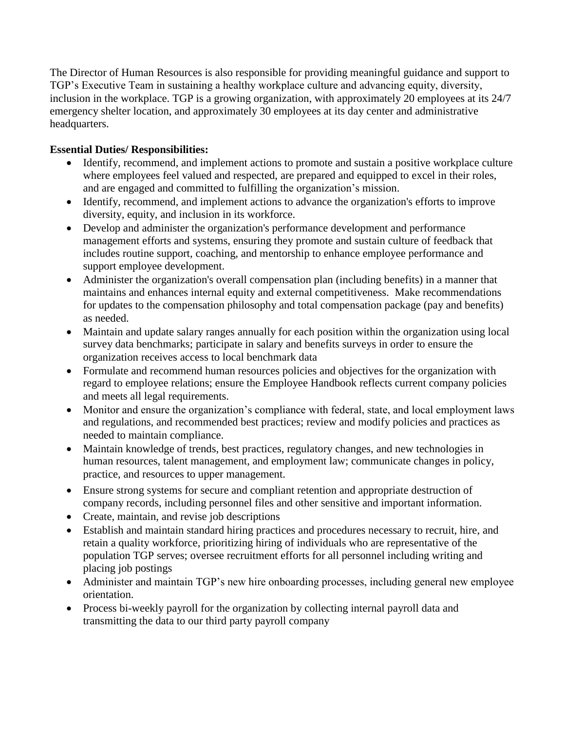The Director of Human Resources is also responsible for providing meaningful guidance and support to TGP's Executive Team in sustaining a healthy workplace culture and advancing equity, diversity, inclusion in the workplace. TGP is a growing organization, with approximately 20 employees at its 24/7 emergency shelter location, and approximately 30 employees at its day center and administrative headquarters.

## **Essential Duties/ Responsibilities:**

- Identify, recommend, and implement actions to promote and sustain a positive workplace culture where employees feel valued and respected, are prepared and equipped to excel in their roles, and are engaged and committed to fulfilling the organization's mission.
- Identify, recommend, and implement actions to advance the organization's efforts to improve diversity, equity, and inclusion in its workforce.
- Develop and administer the organization's performance development and performance management efforts and systems, ensuring they promote and sustain culture of feedback that includes routine support, coaching, and mentorship to enhance employee performance and support employee development.
- Administer the organization's overall compensation plan (including benefits) in a manner that maintains and enhances internal equity and external competitiveness.Make recommendations for updates to the compensation philosophy and total compensation package (pay and benefits) as needed.
- Maintain and update salary ranges annually for each position within the organization using local survey data benchmarks; participate in salary and benefits surveys in order to ensure the organization receives access to local benchmark data
- Formulate and recommend human resources policies and objectives for the organization with regard to employee relations; ensure the Employee Handbook reflects current company policies and meets all legal requirements.
- Monitor and ensure the organization's compliance with federal, state, and local employment laws and regulations, and recommended best practices; review and modify policies and practices as needed to maintain compliance.
- Maintain knowledge of trends, best practices, regulatory changes, and new technologies in human resources, talent management, and employment law; communicate changes in policy, practice, and resources to upper management.
- Ensure strong systems for secure and compliant retention and appropriate destruction of company records, including personnel files and other sensitive and important information.
- Create, maintain, and revise job descriptions
- Establish and maintain [standard hiring practices](http://humanresources.about.com/cs/selectionstaffing/a/hiringchecklist.htm) and procedures necessary to recruit, hire, and retain a [quality workforce,](http://humanresources.about.com/cs/performancemgmt/a/super_workforce.htm) prioritizing hiring of individuals who are representative of the population TGP serves; oversee recruitment efforts for all personnel including writing and placing job postings
- Administer and maintain TGP's new hire onboarding processes, including general new employee orientation.
- Process bi-weekly payroll for the organization by collecting internal payroll data and transmitting the data to our third party payroll company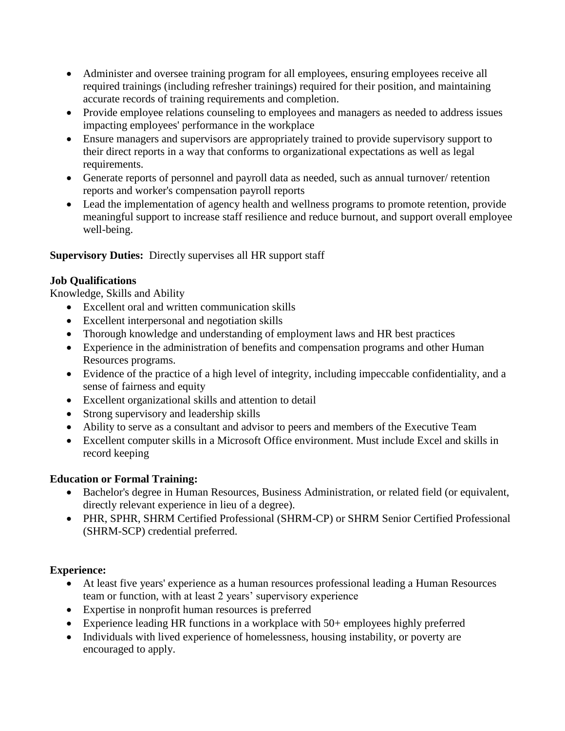- Administer and oversee training program for all employees, ensuring employees receive all required trainings (including refresher trainings) required for their position, and maintaining accurate records of training requirements and completion.
- Provide employee relations counseling to employees and managers as needed to address issues impacting employees' performance in the workplace
- Ensure managers and supervisors are appropriately trained to provide supervisory support to their direct reports in a way that conforms to organizational expectations as well as legal requirements.
- Generate reports of personnel and payroll data as needed, such as annual turnover/ retention reports and worker's compensation payroll reports
- Lead the implementation of agency health and wellness programs to promote retention, provide meaningful support to increase staff resilience and reduce burnout, and support overall employee well-being.

# **Supervisory Duties:** Directly supervises all HR support staff

# **Job Qualifications**

Knowledge, Skills and Ability

- Excellent oral and written communication skills
- Excellent interpersonal and negotiation skills
- Thorough knowledge and understanding of employment laws and HR best practices
- Experience in the administration of benefits and compensation programs and other Human Resources programs.
- Evidence of the practice of a high level of integrity, including impeccable confidentiality, and a sense of fairness and equity
- Excellent organizational skills and attention to detail
- Strong supervisory and leadership skills
- Ability to serve as a consultant and advisor to peers and members of the Executive Team
- Excellent computer skills in a Microsoft Office environment. Must include Excel and skills in record keeping

## **Education or Formal Training:**

- Bachelor's degree in Human Resources, Business Administration, or related field (or equivalent, directly relevant experience in lieu of a degree).
- PHR, SPHR, SHRM Certified Professional (SHRM-CP) or SHRM Senior Certified Professional (SHRM-SCP) credential preferred.

## **Experience:**

- At least five years' experience as a human resources professional leading a Human Resources team or function, with at least 2 years' supervisory experience
- Expertise in nonprofit human resources is preferred
- Experience leading HR functions in a workplace with 50+ employees highly preferred
- Individuals with lived experience of homelessness, housing instability, or poverty are encouraged to apply.